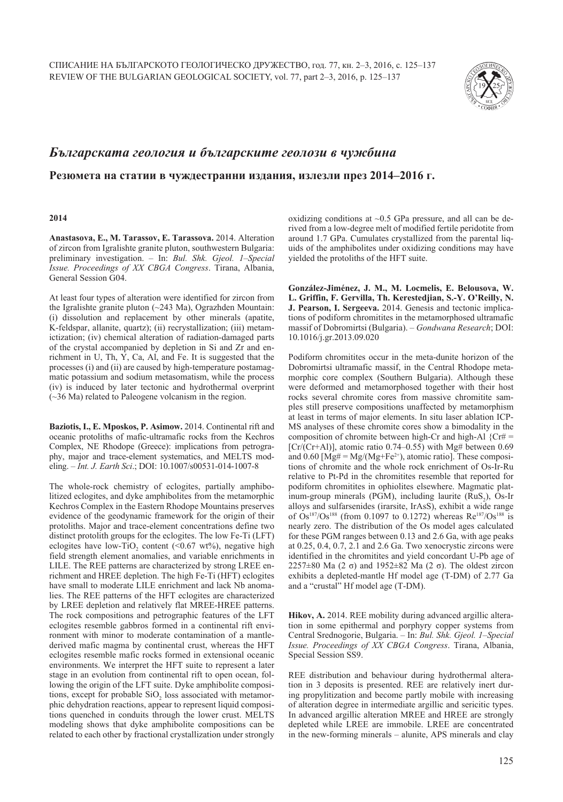

# *Българската геология и българските геолози в чужбина*

## **Резюмета на статии в чуждестранни издания, излезли през 2014–2016 г.**

#### **2014**

**Anastasova, E., M. Tarassov, E. Tarassova.** 2014. Alteration of zircon from Igralishte granite pluton, southwestern Bulgaria: preliminary investigation. – In: *Bul. Shk. Gjeol. 1–Special Issue. Proceedings of XX CBGA Congress*. Tirana, Albania, General Session G04.

At least four types of alteration were identified for zircon from the Igralishte granite pluton  $(\sim 243 \text{ Ma})$ , Ograzhden Mountain: (i) dissolution and replacement by other minerals (apatite, K-feldspar, allanite, quartz); (ii) recrystallization; (iii) metamictization; (iv) chemical alteration of radiation-damaged parts of the crystal accompanied by depletion in Si and Zr and enrichment in U, Th, Y, Ca, Al, and Fe. It is suggested that the processes (i) and (ii) are caused by high-temperature postamagmatic potassium and sodium metasomatism, while the process (iv) is induced by later tectonic and hydrothermal overprint (~36 Ma) related to Paleogene volcanism in the region.

**Baziotis, I., E. Mposkos, P. Asimow.** 2014. Continental rift and oceanic protoliths of mafic-ultramafic rocks from the Kechros Complex, NE Rhodope (Greece): implications from petrography, major and trace-element systematics, and MELTS modeling. – *Int. J. Earth Sci*.; DOI: 10.1007/s00531-014-1007-8

The whole-rock chemistry of eclogites, partially amphibolitized eclogites, and dyke amphibolites from the metamorphic Kechros Complex in the Eastern Rhodope Mountains preserves evidence of the geodynamic framework for the origin of their protoliths. Major and trace-element concentrations define two distinct protolith groups for the eclogites. The low Fe-Ti (LFT) eclogites have low-TiO<sub>2</sub> content (<0.67 wt%), negative high field strength element anomalies, and variable enrichments in LILE. The REE patterns are characterized by strong LREE enrichment and HREE depletion. The high Fe-Ti (HFT) eclogites have small to moderate LILE enrichment and lack Nb anomalies. The REE patterns of the HFT eclogites are characterized by LREE depletion and relatively flat MREE-HREE patterns. The rock compositions and petrographic features of the LFT eclogites resemble gabbros formed in a continental rift environment with minor to moderate contamination of a mantlederived mafic magma by continental crust, whereas the HFT eclogites resemble mafic rocks formed in extensional oceanic environments. We interpret the HFT suite to represent a later stage in an evolution from continental rift to open ocean, following the origin of the LFT suite. Dyke amphibolite compositions, except for probable SiO<sub>2</sub> loss associated with metamorphic dehydration reactions, appear to represent liquid compositions quenched in conduits through the lower crust. MELTS modeling shows that dyke amphibolite compositions can be related to each other by fractional crystallization under strongly

oxidizing conditions at  $\sim 0.5$  GPa pressure, and all can be derived from a low-degree melt of modified fertile peridotite from around 1.7 GPa. Cumulates crystallized from the parental liquids of the amphibolites under oxidizing conditions may have yielded the protoliths of the HFT suite.

**González-Jiménez, J. M., M. Locmelis, E. Belousova, W. L. Griffin, F. Gervilla, Th. Kerestedjian, S.-Y. O'Reilly, N. J. Pearson, I. Sergeeva.** 2014. Genesis and tectonic implications of podiform chromitites in the metamorphosed ultramafic massif of Dobromirtsi (Bulgaria). – *Gondwana Research*; DOI: 10.1016/j.gr.2013.09.020

Podiform chromitites occur in the meta-dunite horizon of the Dobromirtsi ultramafic massif, in the Central Rhodope metamorphic core complex (Southern Bulgaria). Although these were deformed and metamorphosed together with their host rocks several chromite cores from massive chromitite samples still preserve compositions unaffected by metamorphism at least in terms of major elements. In situ laser ablation ICP-MS analyses of these chromite cores show a bimodality in the composition of chromite between high-Cr and high-Al  ${Cr#} =$  $[Cr/(\text{Cr+Al})]$ , atomic ratio 0.74–0.55) with Mg# between 0.69 and  $0.60$  [Mg# = Mg/(Mg+Fe<sup>2+</sup>), atomic ratio]. These compositions of chromite and the whole rock enrichment of Os-Ir-Ru relative to Pt-Pd in the chromitites resemble that reported for podiform chromitites in ophiolites elsewhere. Magmatic platinum-group minerals (PGM), including laurite  $(RuS<sub>2</sub>)$ , Os-Ir alloys and sulfarsenides (irarsite, IrAsS), exhibit a wide range of  $Os^{187}/Os^{188}$  (from 0.1097 to 0.1272) whereas  $Re^{187}/Os^{188}$  is nearly zero. The distribution of the Os model ages calculated for these PGM ranges between 0.13 and 2.6 Ga, with age peaks at 0.25, 0.4, 0.7, 2.1 and 2.6 Ga. Two xenocrystic zircons were identified in the chromitites and yield concordant U-Pb age of 2257 $\pm$ 80 Ma (2 σ) and 1952 $\pm$ 82 Ma (2 σ). The oldest zircon exhibits a depleted-mantle Hf model age (T-DM) of 2.77 Ga and a "crustal" Hf model age (T-DM).

**Hikov, A.** 2014. REE mobility during advanced argillic alteration in some epithermal and porphyry copper systems from Central srednogorie, Bulgaria. – In: *Bul. Shk. Gjeol. 1–Special Issue. Proceedings of XX CBGA Congress*. Tirana, Albania, Special Session SS9.

REE distribution and behaviour during hydrothermal alteration in 3 deposits is presented. REE are relatively inert during propylitization and become partly mobile with increasing of alteration degree in intermediate argillic and sericitic types. In advanced argillic alteration MREE and HREE are strongly depleted while LREE are immobile. LREE are concentrated in the new-forming minerals – alunite, APS minerals and clay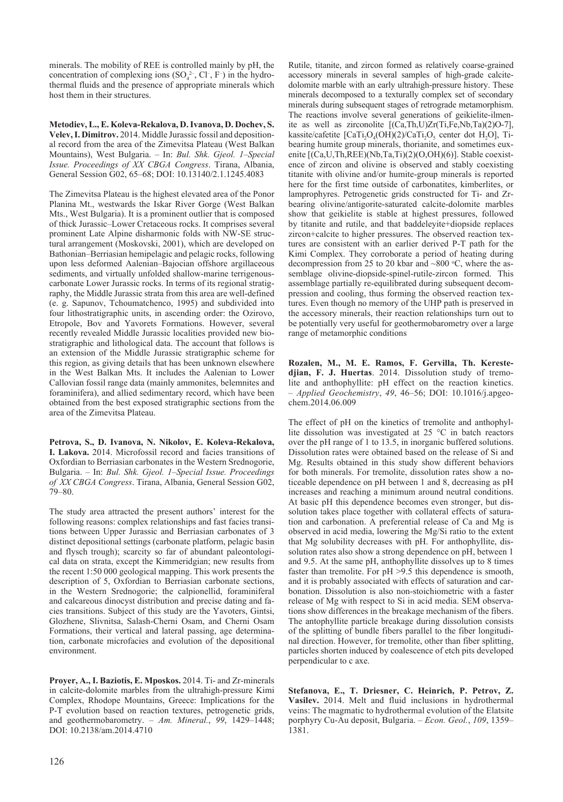minerals. The mobility of REE is controlled mainly by pH, the concentration of complexing ions  $(SO_4^2, Cl^-, F^-)$  in the hydrothermal fluids and the presence of appropriate minerals which host them in their structures.

**Metodiev, L., E. Koleva-Rekalova, D. Ivanova, D. Dochev, S. Velev, I. Dimitrov.** 2014. Middle Jurassic fossil and depositional record from the area of the Zimevitsa Plateau (West Balkan Mountains), West Bulgaria. – In: *Bul. Shk. Gjeol. 1–Special Issue. Proceedings of XX CBGA Congress*. Tirana, Albania, General Session G02, 65–68; DOI: 10.13140/2.1.1245.4083

The Zimevitsa Plateau is the highest elevated area of the Ponor Planina Mt., westwards the Iskar River Gorge (West Balkan Mts., West Bulgaria). It is a prominent outlier that is composed of thick Jurassic–Lower Cretaceous rocks. It comprises several prominent Late Alpine disharmonic folds with NW-SE structural arrangement (Moskovski, 2001), which are developed on Bathonian–Berriasian hemipelagic and pelagic rocks, following upon less deformed Aalenian–Bajocian offshore argillaceous sediments, and virtually unfolded shallow-marine terrigenouscarbonate Lower Jurassic rocks. In terms of its regional stratigraphy, the Middle Jurassic strata from this area are well-defined (e. g. Sapunov, Tchoumatchenco, 1995) and subdivided into four lithostratigraphic units, in ascending order: the Ozirovo, Etropole, Bov and Yavorets Formations. However, several recently revealed Middle Jurassic localities provided new biostratigraphic and lithological data. The account that follows is an extension of the Middle Jurassic stratigraphic scheme for this region, as giving details that has been unknown elsewhere in the West Balkan Mts. It includes the Aalenian to Lower Callovian fossil range data (mainly ammonites, belemnites and foraminifera), and allied sedimentary record, which have been obtained from the best exposed stratigraphic sections from the area of the Zimevitsa Plateau.

**Petrova, S., D. Ivanova, N. Nikolov, E. Koleva-Rekalova, I. Lakova.** 2014. Microfossil record and facies transitions of Oxfordian to Berriasian carbonates in the Western Srednogorie, Bulgaria. – In: *Bul. Shk. Gjeol. 1–Special Issue. Proceedings of XX CBGA Congress*. Tirana, Albania, General Session G02, 79–80.

The study area attracted the present authors' interest for the following reasons: complex relationships and fast facies transitions between Upper Jurassic and Berriasian carbonates of 3 distinct depositional settings (carbonate platform, pelagic basin and flysch trough); scarcity so far of abundant paleontological data on strata, except the Kimmeridgian; new results from the recent 1:50 000 geological mapping. This work presents the description of 5, Oxfordian to Berriasian carbonate sections, in the Western Srednogorie; the calpionellid, foraminiferal and calcareous dinocyst distribution and precise dating and facies transitions. Subject of this study are the Yavoters, Gintsi, Glozhene, Slivnitsa, Salash-Cherni Osam, and Cherni Osam Formations, their vertical and lateral passing, age determination, carbonate microfacies and evolution of the depositional environment.

**Proyer, A., I. Baziotis, E. Mposkos.** 2014. Ti- and Zr-minerals in calcite-dolomite marbles from the ultrahigh-pressure Kimi Complex, Rhodope Mountains, Greece: Implications for the P-T evolution based on reaction textures, petrogenetic grids, and geothermobarometry. – *Am. Mineral.*, *99*, 1429–1448; DOI: 10.2138/am.2014.4710

Rutile, titanite, and zircon formed as relatively coarse-grained accessory minerals in several samples of high-grade calcitedolomite marble with an early ultrahigh-pressure history. These minerals decomposed to a texturally complex set of secondary minerals during subsequent stages of retrograde metamorphism. The reactions involve several generations of geikielite-ilmenite as well as zirconolite [(Ca,Th,U)Zr(Ti,Fe,Nb,Ta)(2)O-7], kassite/cafetite  $[CaTi, O_4(OH)(2)/CaTi, O_5$  center dot H<sub>2</sub>O], Tibearing humite group minerals, thorianite, and sometimes euxenite [(Ca,U,Th,REE)(Nb,Ta,Ti)(2)(O,OH)(6)]. Stable coexistence of zircon and olivine is observed and stably coexisting titanite with olivine and/or humite-group minerals is reported here for the first time outside of carbonatites, kimberlites, or lamprophyres. Petrogenetic grids constructed for Ti- and Zrbearing olivine/antigorite-saturated calcite-dolomite marbles show that geikielite is stable at highest pressures, followed by titanite and rutile, and that baddeleyite+diopside replaces zircon+calcite to higher pressures. The observed reaction textures are consistent with an earlier derived P-T path for the Kimi Complex. They corroborate a period of heating during decompression from 25 to 20 kbar and  $\sim800$  °C, where the assemblage olivine-diopside-spinel-rutile-zircon formed. This assemblage partially re-equilibrated during subsequent decompression and cooling, thus forming the observed reaction textures. Even though no memory of the UHP path is preserved in the accessory minerals, their reaction relationships turn out to be potentially very useful for geothermobarometry over a large range of metamorphic conditions

**Rozalen, M., M. E. Ramos, F. Gervilla, Th. Kerestedjian, F. J. Huertas**. 2014. Dissolution study of tremolite and anthophyllite: pH effect on the reaction kinetics. – *Applied Geochemistry*, *49*, 46–56; DOI: 10.1016/j.apgeochem.2014.06.009

The effect of pH on the kinetics of tremolite and anthophyllite dissolution was investigated at 25 °C in batch reactors over the pH range of 1 to 13.5, in inorganic buffered solutions. Dissolution rates were obtained based on the release of Si and Mg. Results obtained in this study show different behaviors for both minerals. For tremolite, dissolution rates show a noticeable dependence on pH between 1 and 8, decreasing as pH increases and reaching a minimum around neutral conditions. At basic pH this dependence becomes even stronger, but dissolution takes place together with collateral effects of saturation and carbonation. A preferential release of Ca and Mg is observed in acid media, lowering the Mg/Si ratio to the extent that Mg solubility decreases with pH. For anthophyllite, dissolution rates also show a strong dependence on pH, between 1 and 9.5. At the same pH, anthophyllite dissolves up to 8 times faster than tremolite. For pH >9.5 this dependence is smooth, and it is probably associated with effects of saturation and carbonation. Dissolution is also non-stoichiometric with a faster release of Mg with respect to Si in acid media. SEM observations show differences in the breakage mechanism of the fibers. The antophyllite particle breakage during dissolution consists of the splitting of bundle fibers parallel to the fiber longitudinal direction. However, for tremolite, other than fiber splitting, particles shorten induced by coalescence of etch pits developed perpendicular to c axe.

**Stefanova, E., T. Driesner, C. Heinrich, P. Petrov, Z. Vasilev.** 2014. Melt and fluid inclusions in hydrothermal veins: The magmatic to hydrothermal evolution of the Elatsite porphyry Cu-Au deposit, Bulgaria. – *Econ. Geol.*, *109*, 1359– 1381.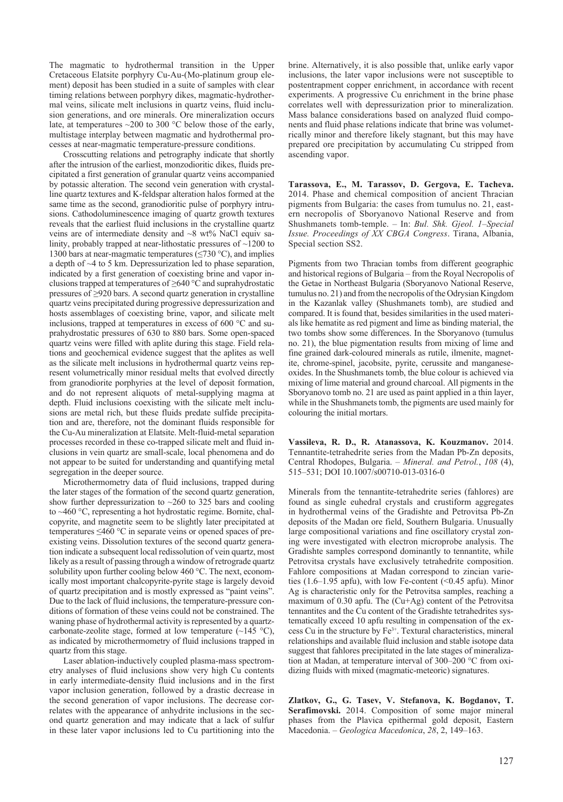The magmatic to hydrothermal transition in the Upper Cretaceous Elatsite porphyry Cu-Au-(Mo-platinum group element) deposit has been studied in a suite of samples with clear timing relations between porphyry dikes, magmatic-hydrothermal veins, silicate melt inclusions in quartz veins, fluid inclusion generations, and ore minerals. Ore mineralization occurs late, at temperatures  $\sim$ 200 to 300 °C below those of the early, multistage interplay between magmatic and hydrothermal processes at near-magmatic temperature-pressure conditions.

Crosscutting relations and petrography indicate that shortly after the intrusion of the earliest, monzodioritic dikes, fluids precipitated a first generation of granular quartz veins accompanied by potassic alteration. The second vein generation with crystalline quartz textures and K-feldspar alteration halos formed at the same time as the second, granodioritic pulse of porphyry intrusions. Cathodoluminescence imaging of quartz growth textures reveals that the earliest fluid inclusions in the crystalline quartz veins are of intermediate density and ~8 wt% NaCl equiv salinity, probably trapped at near-lithostatic pressures of ~1200 to 1300 bars at near-magmatic temperatures ( $\leq$ 730 °C), and implies a depth of ~4 to 5 km. Depressurization led to phase separation, indicated by a first generation of coexisting brine and vapor inclusions trapped at temperatures of ≥640 °C and suprahydrostatic pressures of ≥920 bars. A second quartz generation in crystalline quartz veins precipitated during progressive depressurization and hosts assemblages of coexisting brine, vapor, and silicate melt inclusions, trapped at temperatures in excess of 600 °C and suprahydrostatic pressures of 630 to 880 bars. Some open-spaced quartz veins were filled with aplite during this stage. Field relations and geochemical evidence suggest that the aplites as well as the silicate melt inclusions in hydrothermal quartz veins represent volumetrically minor residual melts that evolved directly from granodiorite porphyries at the level of deposit formation, and do not represent aliquots of metal-supplying magma at depth. Fluid inclusions coexisting with the silicate melt inclusions are metal rich, but these fluids predate sulfide precipitation and are, therefore, not the dominant fluids responsible for the Cu-Au mineralization at Elatsite. Melt-fluid-metal separation processes recorded in these co-trapped silicate melt and fluid inclusions in vein quartz are small-scale, local phenomena and do not appear to be suited for understanding and quantifying metal segregation in the deeper source.

Microthermometry data of fluid inclusions, trapped during the later stages of the formation of the second quartz generation, show further depressurization to  $\sim$ 260 to 325 bars and cooling to ~460 °C, representing a hot hydrostatic regime. Bornite, chalcopyrite, and magnetite seem to be slightly later precipitated at temperatures ≤460 °C in separate veins or opened spaces of preexisting veins. Dissolution textures of the second quartz generation indicate a subsequent local redissolution of vein quartz, most likely as a result of passing through a window of retrograde quartz solubility upon further cooling below 460 °C. The next, economically most important chalcopyrite-pyrite stage is largely devoid of quartz precipitation and is mostly expressed as "paint veins". Due to the lack of fluid inclusions, the temperature-pressure conditions of formation of these veins could not be constrained. The waning phase of hydrothermal activity is represented by a quartzcarbonate-zeolite stage, formed at low temperature  $(-145 \text{ °C})$ , as indicated by microthermometry of fluid inclusions trapped in quartz from this stage.

Laser ablation-inductively coupled plasma-mass spectrometry analyses of fluid inclusions show very high Cu contents in early intermediate-density fluid inclusions and in the first vapor inclusion generation, followed by a drastic decrease in the second generation of vapor inclusions. The decrease correlates with the appearance of anhydrite inclusions in the second quartz generation and may indicate that a lack of sulfur in these later vapor inclusions led to Cu partitioning into the

brine. Alternatively, it is also possible that, unlike early vapor inclusions, the later vapor inclusions were not susceptible to postentrapment copper enrichment, in accordance with recent experiments. A progressive Cu enrichment in the brine phase correlates well with depressurization prior to mineralization. Mass balance considerations based on analyzed fluid components and fluid phase relations indicate that brine was volumetrically minor and therefore likely stagnant, but this may have prepared ore precipitation by accumulating Cu stripped from ascending vapor.

**Tarassova, E., M. Tarassov, D. Gergova, E. Tacheva.**  2014. Phase and chemical composition of ancient Thracian pigments from Bulgaria: the cases from tumulus no. 21, eastern necropolis of Sboryanovo National Reserve and from Shushmanets tomb-temple. – In: *Bul. Shk. Gjeol. 1–Special Issue. Proceedings of XX CBGA Congress*. Tirana, Albania, Special section SS2.

Pigments from two Thracian tombs from different geographic and historical regions of Bulgaria – from the Royal Necropolis of the Getae in Northeast Bulgaria (Sboryanovo National Reserve, tumulus no. 21) and from the necropolis of the Odrysian Kingdom in the Kazanlak valley (Shushmanets tomb), are studied and compared. It is found that, besides similarities in the used materials like hematite as red pigment and lime as binding material, the two tombs show some differences. In the Sboryanovo (tumulus no. 21), the blue pigmentation results from mixing of lime and fine grained dark-coloured minerals as rutile, ilmenite, magnetite, chrome-spinel, jacobsite, pyrite, cerussite and manganeseoxides. In the Shushmanets tomb, the blue colour is achieved via mixing of lime material and ground charcoal. All pigments in the Sboryanovo tomb no. 21 are used as paint applied in a thin layer, while in the Shushmanets tomb, the pigments are used mainly for colouring the initial mortars.

**Vassileva, R. D., R. Atanassova, K. Kouzmanov.** 2014. Tennantite-tetrahedrite series from the Madan Pb-Zn deposits, Central Rhodopes, Bulgaria. – *Mineral. and Petrol.*, *108* (4), 515–531; DOI 10.1007/s00710-013-0316-0

Minerals from the tennantite-tetrahedrite series (fahlores) are found as single euhedral crystals and crustiform aggregates in hydrothermal veins of the Gradishte and Petrovitsa Pb-Zn deposits of the Madan ore field, Southern Bulgaria. Unusually large compositional variations and fine oscillatory crystal zoning were investigated with electron microprobe analysis. The Gradishte samples correspond dominantly to tennantite, while Petrovitsa crystals have exclusively tetrahedrite composition. Fahlore compositions at Madan correspond to zincian varieties (1.6–1.95 apfu), with low Fe-content (<0.45 apfu). Minor Ag is characteristic only for the Petrovitsa samples, reaching a maximum of 0.30 apfu. The (Cu+Ag) content of the Petrovitsa tennantites and the Cu content of the Gradishte tetrahedrites systematically exceed 10 apfu resulting in compensation of the excess Cu in the structure by Fe3+. Textural characteristics, mineral relationships and available fluid inclusion and stable isotope data suggest that fahlores precipitated in the late stages of mineralization at Madan, at temperature interval of 300–200 °C from oxidizing fluids with mixed (magmatic-meteoric) signatures.

**Zlatkov, G., G. Tasev, V. Stefanova, K. Bogdanov, T. Serafimovski.** 2014. Composition of some major mineral phases from the Plavica epithermal gold deposit, Eastern Macedonia. – *Geologica Macedonica*, *28*, 2, 149–163.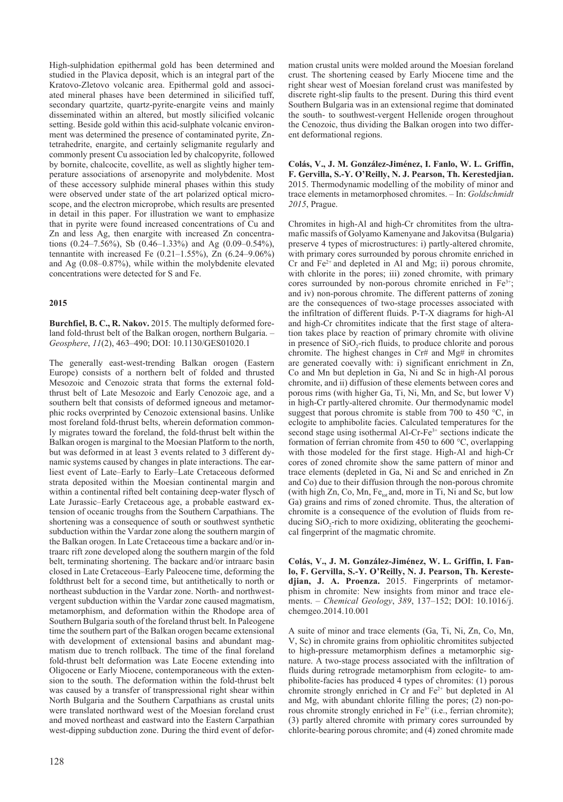High-sulphidation epithermal gold has been determined and studied in the Plavica deposit, which is an integral part of the Kratovo-Zletovo volcanic area. Epithermal gold and associated mineral phases have been determined in silicified tuff, secondary quartzite, quartz-pyrite-enargite veins and mainly disseminated within an altered, but mostly silicified volcanic setting. Beside gold within this acid-sulphate volcanic environment was determined the presence of contaminated pyrite, Zntetrahedrite, enargite, and certainly seligmanite regularly and commonly present Cu association led by chalcopyrite, followed by bornite, chalcocite, covellite, as well as slightly higher temperature associations of arsenopyrite and molybdenite. Most of these accessory sulphide mineral phases within this study were observed under state of the art polarized optical microscope, and the electron microprobe, which results are presented in detail in this paper. For illustration we want to emphasize that in pyrite were found increased concentrations of Cu and Zn and less Ag, then enargite with increased Zn concentrations (0.24–7.56%), Sb (0.46–1.33%) and Ag (0.09–0.54%), tennantite with increased Fe  $(0.21-1.55\%)$ , Zn  $(6.24-9.06\%)$ and Ag (0.08–0.87%), while within the molybdenite elevated concentrations were detected for S and Fe.

### **2015**

**Burchfiel, B. C., R. Nakov.** 2015. The multiply deformed foreland fold-thrust belt of the Balkan orogen, northern Bulgaria. – *Geosphere*, *11*(2), 463–490; DOI: 10.1130/GES01020.1

The generally east-west-trending Balkan orogen (Eastern Europe) consists of a northern belt of folded and thrusted Mesozoic and Cenozoic strata that forms the external foldthrust belt of Late Mesozoic and Early Cenozoic age, and a southern belt that consists of deformed igneous and metamorphic rocks overprinted by Cenozoic extensional basins. Unlike most foreland fold-thrust belts, wherein deformation commonly migrates toward the foreland, the fold-thrust belt within the Balkan orogen is marginal to the Moesian Platform to the north, but was deformed in at least 3 events related to 3 different dynamic systems caused by changes in plate interactions. The earliest event of Late–Early to Early–Late Cretaceous deformed strata deposited within the Moesian continental margin and within a continental rifted belt containing deep-water flysch of Late Jurassic–Early Cretaceous age, a probable eastward extension of oceanic troughs from the Southern Carpathians. The shortening was a consequence of south or southwest synthetic subduction within the Vardar zone along the southern margin of the Balkan orogen. In Late Cretaceous time a backarc and/or intraarc rift zone developed along the southern margin of the fold belt, terminating shortening. The backarc and/or intraarc basin closed in Late Cretaceous–Early Paleocene time, deforming the foldthrust belt for a second time, but antithetically to north or northeast subduction in the Vardar zone. North- and northwestvergent subduction within the Vardar zone caused magmatism, metamorphism, and deformation within the Rhodope area of Southern Bulgaria south of the foreland thrust belt. In Paleogene time the southern part of the Balkan orogen became extensional with development of extensional basins and abundant magmatism due to trench rollback. The time of the final foreland fold-thrust belt deformation was late Eocene extending into Oligocene or Early Miocene, contemporaneous with the extension to the south. The deformation within the fold-thrust belt was caused by a transfer of transpressional right shear within North Bulgaria and the Southern Carpathians as crustal units were translated northward west of the Moesian foreland crust and moved northeast and eastward into the Eastern Carpathian west-dipping subduction zone. During the third event of deformation crustal units were molded around the Moesian foreland crust. The shortening ceased by Early Miocene time and the right shear west of Moesian foreland crust was manifested by discrete right-slip faults to the present. During this third event Southern Bulgaria was in an extensional regime that dominated the south- to southwest-vergent Hellenide orogen throughout the Cenozoic, thus dividing the Balkan orogen into two different deformational regions.

**Colás, V., J. M. González-Jiménez, I. Fanlo, W. L. Griffin, F. Gervilla, S.-Y. O'Reilly, N. J. Pearson, Th. Kerestedjian.** 2015. Thermodynamic modelling of the mobility of minor and trace elements in metamorphosed chromites. – In: *Goldschmidt 2015*, Prague.

Chromites in high-Al and high-Cr chromitites from the ultramafic massifs of Golyamo Kamenyane and Jakovitsa (Bulgaria) preserve 4 types of microstructures: i) partly-altered chromite, with primary cores surrounded by porous chromite enriched in Cr and  $Fe<sup>2+</sup>$  and depleted in Al and Mg; ii) porous chromite, with chlorite in the pores; iii) zoned chromite, with primary cores surrounded by non-porous chromite enriched in  $Fe<sup>3+</sup>$ and iv) non-porous chromite. The different patterns of zoning are the consequences of two-stage processes associated with the infiltration of different fluids. P-T-X diagrams for high-Al and high-Cr chromitites indicate that the first stage of alteration takes place by reaction of primary chromite with olivine in presence of SiO<sub>2</sub>-rich fluids, to produce chlorite and porous chromite. The highest changes in Cr# and Mg# in chromites are generated coevally with: i) significant enrichment in Zn, Co and Mn but depletion in Ga, Ni and Sc in high-Al porous chromite, and ii) diffusion of these elements between cores and porous rims (with higher Ga, Ti, Ni, Mn, and Sc, but lower V) in high-Cr partly-altered chromite. Our thermodynamic model suggest that porous chromite is stable from 700 to 450 °C, in eclogite to amphibolite facies. Calculated temperatures for the second stage using isothermal Al-Cr-Fe<sup>3+</sup> sections indicate the formation of ferrian chromite from 450 to 600 °C, overlapping with those modeled for the first stage. High-Al and high-Cr cores of zoned chromite show the same pattern of minor and trace elements (depleted in Ga, Ni and Sc and enriched in Zn and Co) due to their diffusion through the non-porous chromite (with high Zn, Co, Mn,  $Fe<sub>tot</sub>$  and, more in Ti, Ni and Sc, but low Ga) grains and rims of zoned chromite. Thus, the alteration of chromite is a consequence of the evolution of fluids from reducing SiO<sub>2</sub>-rich to more oxidizing, obliterating the geochemical fingerprint of the magmatic chromite.

**Colás, V., J. M. González-Jiménez, W. L. Griffin, I. Fanlo, F. Gervilla, S.-Y. O'Reilly, N. J. Pearson, Th. Kerestedjian, J. A. Proenza.** 2015. Fingerprints of metamorphism in chromite: New insights from minor and trace elements. – *Chemical Geology*, *389*, 137–152; DOI: 10.1016/j. chemgeo.2014.10.001

A suite of minor and trace elements (Ga, Ti, Ni, Zn, Co, Mn, V, Sc) in chromite grains from ophiolitic chromitites subjected to high-pressure metamorphism defines a metamorphic signature. A two-stage process associated with the infiltration of fluids during retrograde metamorphism from eclogite- to amphibolite-facies has produced 4 types of chromites: (1) porous chromite strongly enriched in Cr and Fe2+ but depleted in Al and Mg, with abundant chlorite filling the pores; (2) non-porous chromite strongly enriched in Fe<sup>3+</sup> (i.e., ferrian chromite); (3) partly altered chromite with primary cores surrounded by chlorite-bearing porous chromite; and (4) zoned chromite made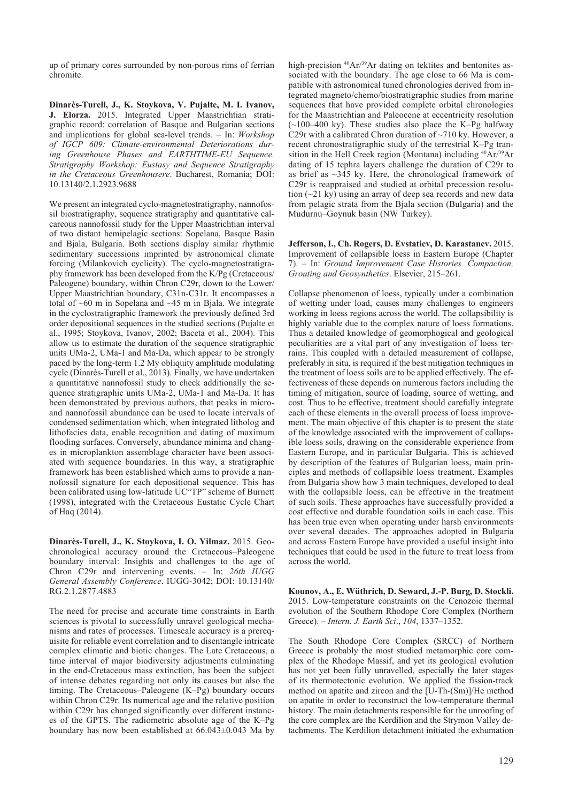up of primary cores surrounded by non-porous rims of ferrian chromite.

**Dinarès-Turell, J., K. Stoykova, V. Pujalte, M. I. Ivanov, J. Elorza.** 2015. Integrated Upper Maastrichtian stratigraphic record: correlation of Basque and Bulgarian sections and implications for global sea-level trends. – In: *Workshop*  of IGCP 609: Climate-environmental Deteriorations dur*ing greenhouse phases and EARTHTIME-EU Sequence. Stratigraphy Workshop: Eustasy and sequence stratigraphy in the Cretaceous Greenhousere*. Bucharest, Romania; DOI: 10.13140/2.1.2923.9688

We present an integrated cyclo-magnetostratigraphy, nannofossil biostratigraphy, sequence stratigraphy and quantitative calcareous nannofossil study for the Upper Maastrichtian interval of two distant hemipelagic sections: Sopelana, Basque Basin and Bjala, Bulgaria. Both sections display similar rhythmic sedimentary successions imprinted by astronomical climate forcing (Milankovich cyclicity). The cyclo-magnetostratigraphy framework has been developed from the K/Pg (Cretaceous/ Paleogene) boundary, within Chron C29r, down to the Lower/ Upper Maastrichtian boundary, C31n-C31r. It encompasses a total of ~60 m in Sopelana and ~45 m in Bjala. We integrate in the cyclostratigraphic framework the previously defined 3rd order depositional sequences in the studied sections (Pujalte et al., 1995; Stoykova, Ivanov, 2002; Baceta et al., 2004). This allow us to estimate the duration of the sequence stratigraphic units UMa-2, UMa-1 and Ma-Da, which appear to be strongly paced by the long-term 1.2 My obliquity amplitude modulating cycle (Dinarès-Turell et al., 2013). Finally, we have undertaken a quantitative nannofossil study to check additionally the sequence stratigraphic units UMa-2, UMa-1 and Ma-Da. It has been demonstrated by previous authors, that peaks in microand nannofossil abundance can be used to locate intervals of condensed sedimentation which, when integrated litholog and lithofacies data, enable recognition and dating of maximum flooding surfaces. Conversely, abundance minima and changes in microplankton assemblage character have been associated with sequence boundaries. In this way, a stratigraphic framework has been established which aims to provide a nannofossil signature for each depositional sequence. This has been calibrated using low-latitude UC"TP" scheme of Burnett (1998), integrated with the Cretaceous Eustatic Cycle Chart of Haq (2014).

**Dinarès-Turell, J., K. Stoykova, I. O. Yilmaz.** 2015. Geochronological accuracy around the Cretaceous–Paleogene boundary interval: Insights and challenges to the age of Chron C29r and intervening events. – In: *26th IUGG General Assembly Conference*. IUGG-3042; DOI: 10.13140/ RG.2.1.2877.4883

The need for precise and accurate time constraints in Earth sciences is pivotal to successfully unravel geological mechanisms and rates of processes. Timescale accuracy is a prerequisite for reliable event correlation and to disentangle intricate complex climatic and biotic changes. The late Cretaceous, a time interval of major biodiversity adjustments culminating in the end-Cretaceous mass extinction, has been the subject of intense debates regarding not only its causes but also the timing. The Cretaceous–Paleogene (K–Pg) boundary occurs within Chron C29r. Its numerical age and the relative position within C29r has changed significantly over different instances of the GPTS. The radiometric absolute age of the K–Pg boundary has now been established at 66.043±0.043 Ma by

high-precision <sup>40</sup>Ar/<sup>39</sup>Ar dating on tektites and bentonites associated with the boundary. The age close to 66 Ma is compatible with astronomical tuned chronologies derived from integrated magneto/chemo/biostratigraphic studies from marine sequences that have provided complete orbital chronologies for the Maastrichtian and Paleocene at eccentricity resolution  $(\sim 100-400 \text{ ky})$ . These studies also place the K–Pg halfway C29r with a calibrated Chron duration of  $\sim$ 710 ky. However, a recent chronostratigraphic study of the terrestrial K–Pg transition in the Hell Creek region (Montana) including  $^{40}Ar^{39}Ar$ dating of 15 tephra layers challenge the duration of C29r to as brief as  $\sim$ 345 ky. Here, the chronological framework of C29r is reappraised and studied at orbital precession resolution (~21 ky) using an array of deep sea records and new data from pelagic strata from the Bjala section (Bulgaria) and the Mudurnu–Goynuk basin (NW Turkey).

**Jefferson, I., Ch. Rogers, D. Evstatiev, D. Karastanev.** 2015. Improvement of collapsible loess in Eastern Europe (Chapter 7). – In: *Ground Improvement Case Histories. Compaction, Grouting and Geosynthetics*. Elsevier, 215–261.

Collapse phenomenon of loess, typically under a combination of wetting under load, causes many challenges to engineers working in loess regions across the world. The collapsibility is highly variable due to the complex nature of loess formations. Thus a detailed knowledge of geomorphogical and geological peculiarities are a vital part of any investigation of loess terrains. This coupled with a detailed measurement of collapse, preferably in situ, is required if the best mitigation techniques in the treatment of loess soils are to be applied effectively. The effectiveness of these depends on numerous factors including the timing of mitigation, source of loading, source of wetting, and cost. Thus to be effective, treatment should carefully integrate each of these elements in the overall process of loess improvement. The main objective of this chapter is to present the state of the knowledge associated with the improvement of collapsible loess soils, drawing on the considerable experience from Eastern Europe, and in particular Bulgaria. This is achieved by description of the features of Bulgarian loess, main principles and methods of collapsible loess treatment. Examples from Bulgaria show how 3 main techniques, developed to deal with the collapsible loess, can be effective in the treatment of such soils. These approaches have successfully provided a cost effective and durable foundation soils in each case. This has been true even when operating under harsh environments over several decades. The approaches adopted in Bulgaria and across Eastern Europe have provided a useful insight into techniques that could be used in the future to treat loess from across the world.

**Kounov, A., E. Wüthrich, D. Seward, J.-P. Burg, D. Stockli.**  2015. Low-temperature constraints on the Cenozoic thermal evolution of the Southern Rhodope Core Complex (Northern Greece). *– Intern. J. Earth Sci*., *104*, 1337–1352.

The South Rhodope Core Complex (SRCC) of Northern Greece is probably the most studied metamorphic core complex of the Rhodope Massif, and yet its geological evolution has not yet been fully unravelled, especially the later stages of its thermotectonic evolution. We applied the fission-track method on apatite and zircon and the  $[\hat{U}$ -Th-(Sm)]/He method on apatite in order to reconstruct the low-temperature thermal history. The main detachments responsible for the unroofing of the core complex are the Kerdilion and the Strymon Valley detachments. The Kerdilion detachment initiated the exhumation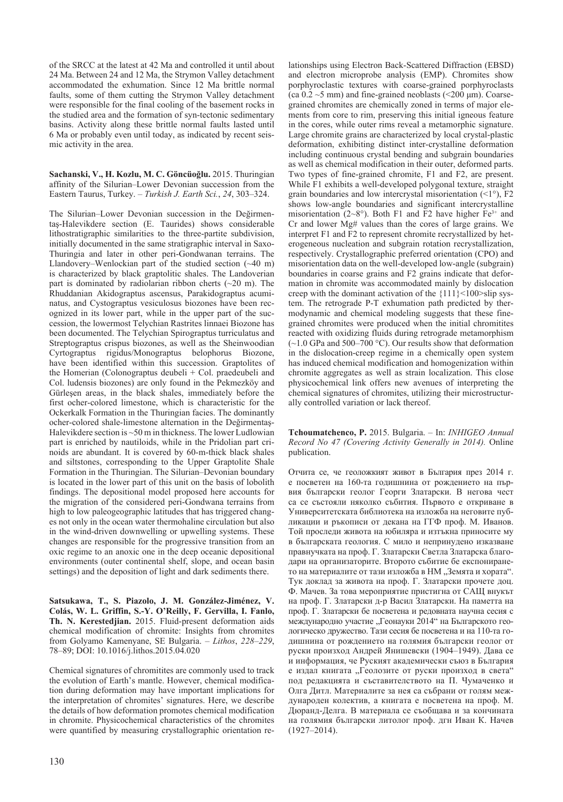of the SRCC at the latest at 42 Ma and controlled it until about 24 Ma. Between 24 and 12 Ma, the Strymon Valley detachment accommodated the exhumation. Since 12 Ma brittle normal faults, some of them cutting the Strymon Valley detachment were responsible for the final cooling of the basement rocks in the studied area and the formation of syn-tectonic sedimentary basins. Activity along these brittle normal faults lasted until 6 Ma or probably even until today, as indicated by recent seismic activity in the area.

**Sachanski, V., H. Kozlu, M. C. Göncüoğlu.** 2015. Thuringian affinity of the Silurian–Lower Devonian succession from the Eastern Taurus, Turkey. – *Turkish J. Earth Sci.*, *24*, 303–324.

The Silurian–Lower Devonian succession in the Değirmentaş-Halevikdere section (E. Taurides) shows considerable lithostratigraphic similarities to the three-partite subdivision, initially documented in the same stratigraphic interval in Saxo-Thuringia and later in other peri-Gondwanan terrains. The Llandovery–Wenlockian part of the studied section  $(-40 \text{ m})$ is characterized by black graptolitic shales. The Landoverian part is dominated by radiolarian ribbon cherts  $(\sim 20 \text{ m})$ . The Rhuddanian Akidograptus ascensus, Parakidograptus acuminatus, and Cystograptus vesiculosus biozones have been recognized in its lower part, while in the upper part of the succession, the lowermost Telychian Rastrites linnaei Biozone has been documented. The Telychian Spirograptus turriculatus and Streptograptus crispus biozones, as well as the Sheinwoodian Cyrtograptus rigidus/Monograptus belophorus Biozone, have been identified within this succession. Graptolites of the Homerian (Colonograptus deubeli + Col. praedeubeli and Col. ludensis biozones) are only found in the Pekmezköy and Gürleşen areas, in the black shales, immediately before the first ocher-colored limestone, which is characteristic for the Ockerkalk Formation in the Thuringian facies. The dominantly ocher-colored shale-limestone alternation in the Değirmentaş-Halevikdere section is ~50 m in thickness. The lower Ludlowian part is enriched by nautiloids, while in the Pridolian part crinoids are abundant. It is covered by 60-m-thick black shales and siltstones, corresponding to the Upper Graptolite Shale Formation in the Thuringian. The Silurian–Devonian boundary is located in the lower part of this unit on the basis of lobolith findings. The depositional model proposed here accounts for the migration of the considered peri-Gondwana terrains from high to low paleogeographic latitudes that has triggered changes not only in the ocean water thermohaline circulation but also in the wind-driven downwelling or upwelling systems. These changes are responsible for the progressive transition from an oxic regime to an anoxic one in the deep oceanic depositional environments (outer continental shelf, slope, and ocean basin settings) and the deposition of light and dark sediments there.

**Satsukawa, T., S. Piazolo, J. M. González-Jiménez, V. Colás, W. L. Griffin, S.-Y. O'Reilly, F. Gervilla, I. Fanlo, Th. N. Kerestedjian.** 2015. Fluid-present deformation aids chemical modification of chromite: Insights from chromites from Golyamo Kamenyane, SE Bulgaria. – *Lithos*, *228–229*, 78–89; DOI: 10.1016/j.lithos.2015.04.020

Chemical signatures of chromitites are commonly used to track the evolution of Earth's mantle. However, chemical modification during deformation may have important implications for the interpretation of chromites' signatures. Here, we describe the details of how deformation promotes chemical modification in chromite. Physicochemical characteristics of the chromites were quantified by measuring crystallographic orientation relationships using Electron Back-Scattered Diffraction (EBSD) and electron microprobe analysis (EMP). Chromites show porphyroclastic textures with coarse-grained porphyroclasts  $(ca 0.2 \sim 5$  mm) and fine-grained neoblasts  $(< 200$  um). Coarsegrained chromites are chemically zoned in terms of major elements from core to rim, preserving this initial igneous feature in the cores, while outer rims reveal a metamorphic signature. Large chromite grains are characterized by local crystal-plastic deformation, exhibiting distinct inter-crystalline deformation including continuous crystal bending and subgrain boundaries as well as chemical modification in their outer, deformed parts. Two types of fine-grained chromite, F1 and F2, are present. While F1 exhibits a well-developed polygonal texture, straight grain boundaries and low intercrystal misorientation  $(\leq 1^{\circ})$ , F2 shows low-angle boundaries and significant intercrystalline misorientation (2~8°). Both F1 and F2 have higher  $Fe^{3+}$  and Cr and lower Mg# values than the cores of large grains. We interpret F1 and F2 to represent chromite recrystallized by heterogeneous nucleation and subgrain rotation recrystallization, respectively. Crystallographic preferred orientation (CPO) and misorientation data on the well-developed low-angle (subgrain) boundaries in coarse grains and F2 grains indicate that deformation in chromite was accommodated mainly by dislocation creep with the dominant activation of the {111}<100>slip system. The retrograde P-T exhumation path predicted by thermodynamic and chemical modeling suggests that these finegrained chromites were produced when the initial chromitites reacted with oxidizing fluids during retrograde metamorphism  $(\sim 1.0 \text{ GPa}$  and 500–700 °C). Our results show that deformation in the dislocation-creep regime in a chemically open system has induced chemical modification and homogenization within chromite aggregates as well as strain localization. This close physicochemical link offers new avenues of interpreting the chemical signatures of chromites, utilizing their microstructurally controlled variation or lack thereof.

**Tchoumatchenco, P.** 2015. Bulgaria. – In: *INHIGEO Annual Record No 47 (Covering Activity Generally in 2014).* Online publication.

Отчита се, че геоложкият живот в България през 2014 г. е посветен на 160-та годишнина от рождението на първия български геолог Георги Златарски. В негова чест са се състояли няколко събития. Първото е откриване в Университетската библиотека на изложба на неговите публикации и ръкописи от декана на ГГФ проф. М. Иванов. Той проследи живота на юбиляра и изтъкна приносите му в българската геология. с мило и непринудено изказване правнучката на проф. Г. Златарски Светла Златарска благодари на организаторите. Второто събитие бе експонирането на материалите от тази изложба в НМ "Земята и хората". Тук доклад за живота на проф. Г. Златарски прочете доц. Ф. Мачев. За това мероприятие пристигна от САЩ внукът на проф. Г. Златарски д-р Васил Златарски. На паметта на проф. Г. Златарски бе посветена и редовната научна сесия с международно участие "Геонауки 2014" на Българското геологическо дружество. Тази сесия бе посветена и на 110-та годишнина от рождението на голямия български геолог от руски произход Андрей Янишевски (1904–1949). Дава се и информация, че Руският академически съюз в България е издал книгата "Геолозите от руски произход в света" под редакцията и съставителството на П. Чумаченко и Олга Дитл. Материалите за нея са събрани от голям международен колектив, а книгата е посветена на проф. М. Дюранд-Делга. В материала се съобщава и за кончината на голямия български литолог проф. дгн Иван К. Начев (1927–2014).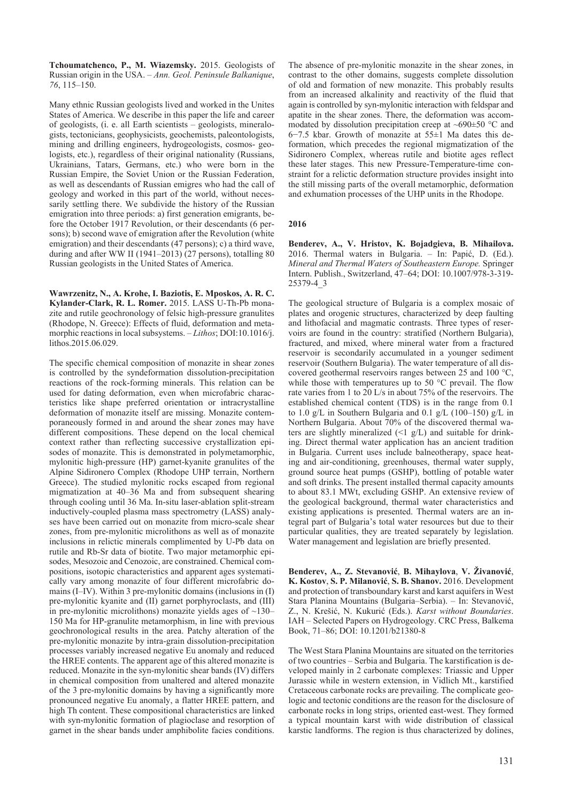**Tchoumatchenco, P., M. Wiazemsky.** 2015. Geologists of Russian origin in the USA. – *Ann. Geol. Peninsule Balkanique*, *76*, 115–150.

Many ethnic Russian geologists lived and worked in the Unites States of America. We describe in this paper the life and career of geologists, (i. e. all Earth scientists – geologists, mineralogists, tectonicians, geophysicists, geochemists, paleontologists, mining and drilling engineers, hydrogeologists, cosmos- geologists, etc.), regardless of their original nationality (Russians, Ukrainians, Tatars, Germans, etc.) who were born in the Russian Empire, the Soviet Union or the Russian Federation, as well as descendants of Russian emigres who had the call of geology and worked in this part of the world, without necessarily settling there. We subdivide the history of the Russian emigration into three periods: a) first generation emigrants, before the October 1917 Revolution, or their descendants (6 persons); b) second wave of emigration after the Revolution (white emigration) and their descendants (47 persons); c) a third wave, during and after WW II (1941–2013) (27 persons), totalling 80 Russian geologists in the United States of America.

**Wawrzenitz, N., A. Krohe, I. Baziotis, E. Mposkos, A. R. C. Kylander-Clark, R. L. Romer.** 2015. LASS U-Th-Pb monazite and rutile geochronology of felsic high-pressure granulites (Rhodope, N. Greece): Effects of fluid, deformation and metamorphic reactions in local subsystems. – *Lithos*; DOI:10.1016/j. lithos.2015.06.029.

The specific chemical composition of monazite in shear zones is controlled by the syndeformation dissolution-precipitation reactions of the rock-forming minerals. This relation can be used for dating deformation, even when microfabric characteristics like shape preferred orientation or intracrystalline deformation of monazite itself are missing. Monazite contemporaneously formed in and around the shear zones may have different compositions. These depend on the local chemical context rather than reflecting successive crystallization episodes of monazite. This is demonstrated in polymetamorphic, mylonitic high-pressure (HP) garnet-kyanite granulites of the Alpine Sidironero Complex (Rhodope UHP terrain, Northern Greece). The studied mylonitic rocks escaped from regional migmatization at 40–36 Ma and from subsequent shearing through cooling until 36 Ma. In-situ laser-ablation split-stream inductively-coupled plasma mass spectrometry (LASS) analyses have been carried out on monazite from micro-scale shear zones, from pre-mylonitic microlithons as well as of monazite inclusions in relictic minerals complimented by U-Pb data on rutile and Rb-Sr data of biotite. Two major metamorphic episodes, Mesozoic and Cenozoic, are constrained. Chemical compositions, isotopic characteristics and apparent ages systematically vary among monazite of four different microfabric domains (I–IV). Within 3 pre-mylonitic domains (inclusions in (I) pre-mylonitic kyanite and (II) garnet porphyroclasts, and (III) in pre-mylonitic microlithons) monazite yields ages of  $\sim$ 130– 150 Ma for HP-granulite metamorphism, in line with previous geochronological results in the area. Patchy alteration of the pre-mylonitic monazite by intra-grain dissolution-precipitation processes variably increased negative Eu anomaly and reduced the HREE contents. The apparent age of this altered monazite is reduced. Monazite in the syn-mylonitic shear bands (IV) differs in chemical composition from unaltered and altered monazite of the 3 pre-mylonitic domains by having a significantly more pronounced negative Eu anomaly, a flatter HREE pattern, and high Th content. These compositional characteristics are linked with syn-mylonitic formation of plagioclase and resorption of garnet in the shear bands under amphibolite facies conditions.

The absence of pre-mylonitic monazite in the shear zones, in contrast to the other domains, suggests complete dissolution of old and formation of new monazite. This probably results from an increased alkalinity and reactivity of the fluid that again is controlled by syn-mylonitic interaction with feldspar and apatite in the shear zones. There, the deformation was accommodated by dissolution precipitation creep at  $\sim 690 \pm 50$  °C and 6−7.5 kbar. Growth of monazite at 55±1 Ma dates this deformation, which precedes the regional migmatization of the Sidironero Complex, whereas rutile and biotite ages reflect these later stages. This new Pressure-Temperature-time constraint for a relictic deformation structure provides insight into the still missing parts of the overall metamorphic, deformation and exhumation processes of the UHP units in the Rhodope.

#### **2016**

**Benderev, A., V. Hristov, K. Bojadgieva, B. Mihailova.**  2016. Thermal waters in Bulgaria. – In: Papić, D. (Ed.). *Mineral and Thermal Waters of Southeastern Europe.* Springer Intern. Publish., Switzerland, 47–64; DOI: 10.1007/978-3-319- 25379-4\_3

The geological structure of Bulgaria is a complex mosaic of plates and orogenic structures, characterized by deep faulting and lithofacial and magmatic contrasts. Three types of reservoirs are found in the country: stratified (Northern Bulgaria), fractured, and mixed, where mineral water from a fractured reservoir is secondarily accumulated in a younger sediment reservoir (Southern Bulgaria). The water temperature of all discovered geothermal reservoirs ranges between 25 and 100 °C, while those with temperatures up to 50 °C prevail. The flow rate varies from 1 to 20 L/s in about 75% of the reservoirs. The established chemical content (TDS) is in the range from 0.1 to 1.0 g/L in Southern Bulgaria and 0.1 g/L (100–150) g/L in Northern Bulgaria. About 70% of the discovered thermal waters are slightly mineralized (<1 g/L) and suitable for drinking. Direct thermal water application has an ancient tradition in Bulgaria. Current uses include balneotherapy, space heating and air-conditioning, greenhouses, thermal water supply, ground source heat pumps (GSHP), bottling of potable water and soft drinks. The present installed thermal capacity amounts to about 83.1 MWt, excluding GSHP. An extensive review of the geological background, thermal water characteristics and existing applications is presented. Thermal waters are an integral part of Bulgaria's total water resources but due to their particular qualities, they are treated separately by legislation. Water management and legislation are briefly presented.

**Benderev, A., Z. Stevanović**, **B. Mihaylova**, **V. Živanović**, **K. Kostov**, **S. P. Milanović**, **S. B. Shanov.** 2016. Development and protection of transboundary karst and karst aquifers in West Stara Planina Mountains (Bulgaria–Serbia). – In: Stevanović, Z., N. Krešić, N. Kukurić (Eds.). *Karst without Boundaries*. IAH – Selected Papers on Hydrogeology. CRC Press, Balkema Book, 71–86; DOI: 10.1201/b21380-8

The West Stara Planina Mountains are situated on the territories of two countries – Serbia and Bulgaria. The karstification is developed mainly in 2 carbonate complexes: Triassic and Upper Jurassic while in western extension, in Vidlich Mt., karstified Cretaceous carbonate rocks are prevailing. The complicate geologic and tectonic conditions are the reason for the disclosure of carbonate rocks in long strips, oriented east-west. They formed a typical mountain karst with wide distribution of classical karstic landforms. The region is thus characterized by dolines,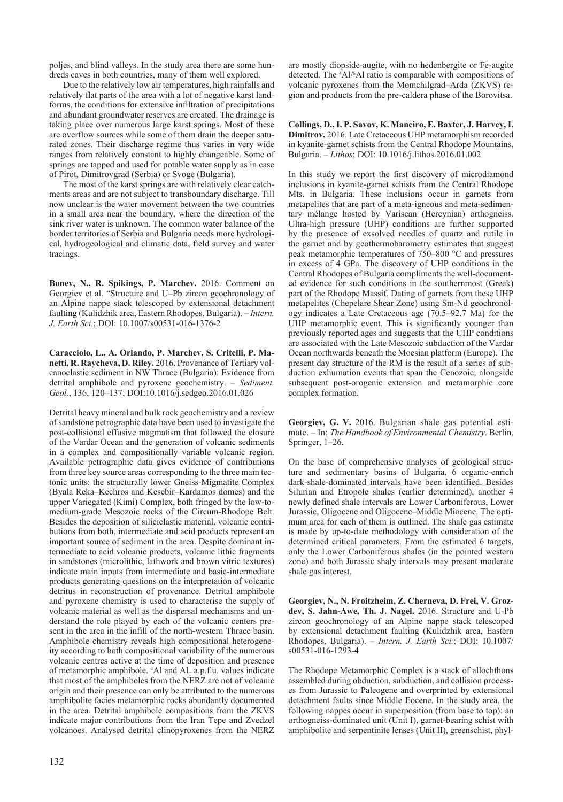poljes, and blind valleys. In the study area there are some hundreds caves in both countries, many of them well explored.

Due to the relatively low air temperatures, high rainfalls and relatively flat parts of the area with a lot of negative karst landforms, the conditions for extensive infiltration of precipitations and abundant groundwater reserves are created. The drainage is taking place over numerous large karst springs. Most of these are overflow sources while some of them drain the deeper saturated zones. Their discharge regime thus varies in very wide ranges from relatively constant to highly changeable. Some of springs are tapped and used for potable water supply as in case of Pirot, Dimitrovgrad (Serbia) or Svoge (Bulgaria).

The most of the karst springs are with relatively clear catchments areas and are not subject to transboundary discharge. Till now unclear is the water movement between the two countries in a small area near the boundary, where the direction of the sink river water is unknown. The common water balance of the border territories of Serbia and Bulgaria needs more hydrological, hydrogeological and climatic data, field survey and water tracings.

**Bonev, N., R. Spikings, P. Marchev.** 2016. Comment on Georgiev et al. "Structure and U–Pb zircon geochronology of an Alpine nappe stack telescoped by extensional detachment faulting (Kulidzhik area, Eastern Rhodopes, Bulgaria). *– Intern. J. Earth Sci.*; DOI: 10.1007/s00531-016-1376-2

**Caracciolo, L., A. Orlando, P. Marchev, S. Critelli, P. Manetti, R. Raycheva, D. Riley.** 2016. Provenance of Tertiary volcanoclastic sediment in NW Thrace (Bulgaria): Evidence from detrital amphibole and pyroxene geochemistry. – *Sediment.*  Geol., 136, 120–137; DOI:10.1016/j.sedgeo.2016.01.026

Detrital heavy mineral and bulk rock geochemistry and a review of sandstone petrographic data have been used to investigate the post-collisional effusive magmatism that followed the closure of the Vardar Ocean and the generation of volcanic sediments in a complex and compositionally variable volcanic region. Available petrographic data gives evidence of contributions from three key source areas corresponding to the three main tectonic units: the structurally lower Gneiss-Migmatite Complex (Byala Reka–Kechros and Kesebir–Kardamos domes) and the upper Variegated (Kimi) Complex, both fringed by the low-tomedium-grade Mesozoic rocks of the Circum-Rhodope Belt. Besides the deposition of siliciclastic material, volcanic contributions from both, intermediate and acid products represent an important source of sediment in the area. Despite dominant intermediate to acid volcanic products, volcanic lithic fragments in sandstones (microlithic, lathwork and brown vitric textures) indicate main inputs from intermediate and basic-intermediate products generating questions on the interpretation of volcanic detritus in reconstruction of provenance. Detrital amphibole and pyroxene chemistry is used to characterise the supply of volcanic material as well as the dispersal mechanisms and understand the role played by each of the volcanic centers present in the area in the infill of the north-western Thrace basin. Amphibole chemistry reveals high compositional heterogeneity according to both compositional variability of the numerous volcanic centres active at the time of deposition and presence of metamorphic amphibole.  ${}^4$ Al and Al<sub>T</sub> a.p.f.u. values indicate that most of the amphiboles from the NERZ are not of volcanic origin and their presence can only be attributed to the numerous amphibolite facies metamorphic rocks abundantly documented in the area. Detrital amphibole compositions from the ZKVS indicate major contributions from the Iran Tepe and Zvedzel volcanoes. Analysed detrital clinopyroxenes from the NERZ are mostly diopside-augite, with no hedenbergite or Fe-augite detected. The 4 Al/6 Al ratio is comparable with compositions of volcanic pyroxenes from the Momchilgrad–Arda (ZKVS) region and products from the pre-caldera phase of the Borovitsa.

**Collings, D., I. P. Savov, K. Maneiro, E. Baxter, J. Harvey, I. Dimitrov.** 2016. Late Cretaceous UHP metamorphism recorded in kyanite-garnet schists from the Central Rhodope Mountains, Bulgaria. *– Lithos*; DOI: 10.1016/j.lithos.2016.01.002

In this study we report the first discovery of microdiamond inclusions in kyanite-garnet schists from the Central Rhodope Mts. in Bulgaria. These inclusions occur in garnets from metapelites that are part of a meta-igneous and meta-sedimentary mélange hosted by Variscan (Hercynian) orthogneiss. Ultra-high pressure (UHP) conditions are further supported by the presence of exsolved needles of quartz and rutile in the garnet and by geothermobarometry estimates that suggest peak metamorphic temperatures of 750–800 °C and pressures in excess of 4 GPa. The discovery of UHP conditions in the Central Rhodopes of Bulgaria compliments the well-documented evidence for such conditions in the southernmost (Greek) part of the Rhodope Massif. Dating of garnets from these UHP metapelites (Chepelare Shear Zone) using Sm-Nd geochronology indicates a Late Cretaceous age (70.5–92.7 Ma) for the UHP metamorphic event. This is significantly younger than previously reported ages and suggests that the UHP conditions are associated with the Late Mesozoic subduction of the Vardar Ocean northwards beneath the Moesian platform (Europe). The present day structure of the RM is the result of a series of subduction exhumation events that span the Cenozoic, alongside subsequent post-orogenic extension and metamorphic core complex formation.

**Georgiev, G. V.** 2016. Bulgarian shale gas potential estimate. – In: *The Handbook of Environmental Chemistry*. Berlin, Springer, 1–26.

On the base of comprehensive analyses of geological structure and sedimentary basins of Bulgaria, 6 organic-enrich dark-shale-dominated intervals have been identified. Besides Silurian and Etropole shales (earlier determined), another 4 newly defined shale intervals are Lower Carboniferous, Lower Jurassic, Oligocene and Oligocene–Middle Miocene. The optimum area for each of them is outlined. The shale gas estimate is made by up-to-date methodology with consideration of the determined critical parameters. From the estimated 6 targets, only the Lower Carboniferous shales (in the pointed western zone) and both Jurassic shaly intervals may present moderate shale gas interest.

**Georgiev, N., N. Froitzheim, Z. Cherneva, D. Frei, V. Grozdev, S. Jahn-Awe, Th. J. Nagel.** 2016. Structure and U-Pb zircon geochronology of an Alpine nappe stack telescoped by extensional detachment faulting (Kulidzhik area, Eastern Rhodopes, Bulgaria). – *Intern. J. Earth Sci.*; DOI: 10.1007/ s00531-016-1293-4

The Rhodope Metamorphic Complex is a stack of allochthons assembled during obduction, subduction, and collision processes from Jurassic to Paleogene and overprinted by extensional detachment faults since Middle Eocene. In the study area, the following nappes occur in superposition (from base to top): an orthogneiss-dominated unit (Unit I), garnet-bearing schist with amphibolite and serpentinite lenses (Unit II), greenschist, phyl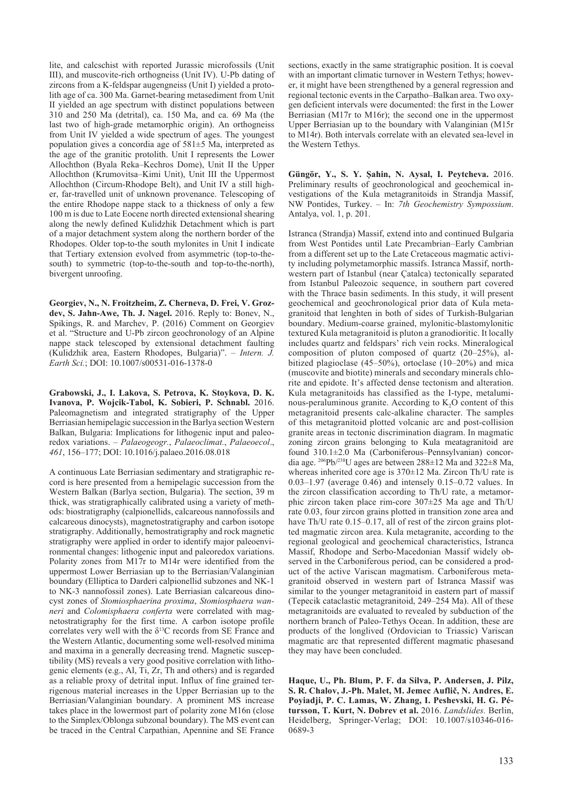lite, and calcschist with reported Jurassic microfossils (Unit III), and muscovite-rich orthogneiss (Unit IV). U-Pb dating of zircons from a K-feldspar augengneiss (Unit I) yielded a protolith age of ca. 300 Ma. Garnet-bearing metasediment from Unit II yielded an age spectrum with distinct populations between 310 and 250 Ma (detrital), ca. 150 Ma, and ca. 69 Ma (the last two of high-grade metamorphic origin). An orthogneiss from Unit IV yielded a wide spectrum of ages. The youngest population gives a concordia age of 581±5 Ma, interpreted as the age of the granitic protolith. Unit I represents the Lower Allochthon (Byala Reka–Kechros Dome), Unit II the Upper Allochthon (Krumovitsa–Kimi Unit), Unit III the Uppermost Allochthon (Circum-Rhodope Belt), and Unit IV a still higher, far-travelled unit of unknown provenance. Telescoping of the entire Rhodope nappe stack to a thickness of only a few 100 m is due to Late Eocene north directed extensional shearing along the newly defined Kulidzhik Detachment which is part of a major detachment system along the northern border of the Rhodopes. Older top-to-the south mylonites in Unit I indicate that Tertiary extension evolved from asymmetric (top-to-thesouth) to symmetric (top-to-the-south and top-to-the-north), bivergent unroofing.

**Georgiev, N., N. Froitzheim, Z. Cherneva, D. Frei, V. Grozdev, S. Jahn-Awe, Th. J. Nagel.** 2016. Reply to: Bonev, N., Spikings, R. and Marchev, P. (2016) Comment on Georgiev et al. "Structure and U-Pb zircon geochronology of an Alpine nappe stack telescoped by extensional detachment faulting (Kulidzhik area, Eastern Rhodopes, Bulgaria)". – *Intern. J. Earth Sci.*; DOI: 10.1007/s00531-016-1378-0

**Grabowski, J., I. Lakova, S. Petrova, K. Stoykova, D. K. Ivanova, P. Wojcik-Tabol, K. Sobieri, P. Schnabl.** 2016. Paleomagnetism and integrated stratigraphy of the Upper Berriasian hemipelagic succession in the Barlya section Western Balkan, Bulgaria: Implications for lithogenic input and paleoredox variations. – *Palaeogeogr.*, *Palaeoclimat.*, *Palaeoecol*., *461*, 156–177; DOI: 10.1016/j.palaeo.2016.08.018

A continuous Late Berriasian sedimentary and stratigraphic record is here presented from a hemipelagic succession from the Western Balkan (Barlya section, Bulgaria). The section, 39 m thick, was stratigraphically calibrated using a variety of methods: biostratigraphy (calpionellids, calcareous nannofossils and calcareous dinocysts), magnetostratigraphy and carbon isotope stratigraphy. Additionally, hemostratigraphy and rock magnetic stratigraphy were applied in order to identify major paleoenvironmental changes: lithogenic input and paleoredox variations. Polarity zones from M17r to M14r were identified from the uppermost Lower Berriasian up to the Berriasian/Valanginian boundary (Elliptica to Darderi calpionellid subzones and NK-1 to NK-3 nannofossil zones). Late Berriasian calcareous dinocyst zones of *Stomiosphaerina proxima*, *Stomiosphaera wanneri* and *Colomisphaera conferta* were correlated with magnetostratigraphy for the first time. A carbon isotope profile correlates very well with the  $\delta^{13}$ C records from SE France and the Western Atlantic, documenting some well-resolved minima and maxima in a generally decreasing trend. Magnetic susceptibility (MS) reveals a very good positive correlation with lithogenic elements (e.g., Al, Ti, Zr, Th and others) and is regarded as a reliable proxy of detrital input. Influx of fine grained terrigenous material increases in the Upper Berriasian up to the Berriasian/Valanginian boundary. A prominent MS increase takes place in the lowermost part of polarity zone M16n (close to the Simplex/Oblonga subzonal boundary). The MS event can be traced in the Central Carpathian, Apennine and SE France

sections, exactly in the same stratigraphic position. It is coeval with an important climatic turnover in Western Tethys; however, it might have been strengthened by a general regression and regional tectonic events in the Carpatho–Balkan area. Two oxygen deficient intervals were documented: the first in the Lower Berriasian (M17r to M16r); the second one in the uppermost Upper Berriasian up to the boundary with Valanginian (M15r to M14r). Both intervals correlate with an elevated sea-level in the Western Tethys.

**Güngör, Y., S. Y. Şahin, N. Aysal, I. Peytcheva.** 2016. Preliminary results of geochronological and geochemical investigations of the Kula metagranitoids in Strandja Massif, NW Pontides, Turkey. – In: *7th Geochemistry Sympossium*. Antalya, vol. 1, p. 201.

Istranca (Strandja) Massif, extend into and continued Bulgaria from West Pontides until Late Precambrian–Early Cambrian from a different set up to the Late Cretaceous magmatic activity including polymetamorphic massifs. Istranca Massif, northwestern part of Istanbul (near çatalca) tectonically separated from Istanbul Paleozoic sequence, in southern part covered with the Thrace basin sediments. In this study, it will present geochemical and geochronological prior data of Kula metagranitoid that lenghten in both of sides of Turkish-Bulgarian boundary. Medium-coarse grained, mylonitic-blastomylonitic textured Kula metagranitoid is pluton a granodioritic. It locally includes quartz and feldspars' rich vein rocks. Mineralogical composition of pluton composed of quartz (20–25%), albitized plagioclase (45–50%), ortoclase (10–20%) and mica (muscovite and biotite) minerals and secondary minerals chlorite and epidote. It's affected dense tectonism and alteration. Kula metagranitoids has classified as the I-type, metaluminous-peraluminous granite. According to  $K<sub>2</sub>O$  content of this metagranitoid presents calc-alkaline character. The samples of this metagranitoid plotted volcanic arc and post-collision granite areas in tectonic discrimination diagram. In magmatic zoning zircon grains belonging to Kula meatagranitoid are found 310.1±2.0 Ma (Carboniferous–Pennsylvanian) concordia age. 206Pb/238U ages are between 288±12 Ma and 322±8 Ma, whereas inherited core age is 370±12 Ma. Zircon Th/U rate is 0.03–1.97 (average 0.46) and intensely 0.15–0.72 values. In the zircon classification according to Th/U rate, a metamorphic zircon taken place rim-core 307±25 Ma age and Th/U rate 0.03, four zircon grains plotted in transition zone area and have Th/U rate 0.15–0.17, all of rest of the zircon grains plotted magmatic zircon area. Kula metagranite, according to the regional geological and geochemical characteristics, Istranca Massif, Rhodope and Serbo-Macedonian Massif widely observed in the Carboniferous period, can be considered a product of the active Variscan magmatism. Carboniferous metagranitoid observed in western part of Istranca Massif was similar to the younger metagranitoid in eastern part of massif (Tepecik cataclastic metagranitoid, 249–254 Ma). All of these metagranitoids are evaluated to revealed by subduction of the northern branch of Paleo-Tethys Ocean. In addition, these are products of the longlived (Ordovician to Triassic) Variscan magmatic arc that represented different magmatic phasesand they may have been concluded.

**Haque, U., Ph. Blum, P. F. da Silva, P. Andersen, J. Pilz, S. R. Chalov, J.-Ph. Malet, M. Jemec Auflič, N. Andres, E. Poyiadji, P. C. Lamas, W. Zhang, I. Peshevski, H. G. Pétursson, T. Kurt, N. Dobrev et al.** 2016. *Landslides.* Berlin, Heidelberg, Springer-Verlag; DOI: 10.1007/s10346-016- 0689-3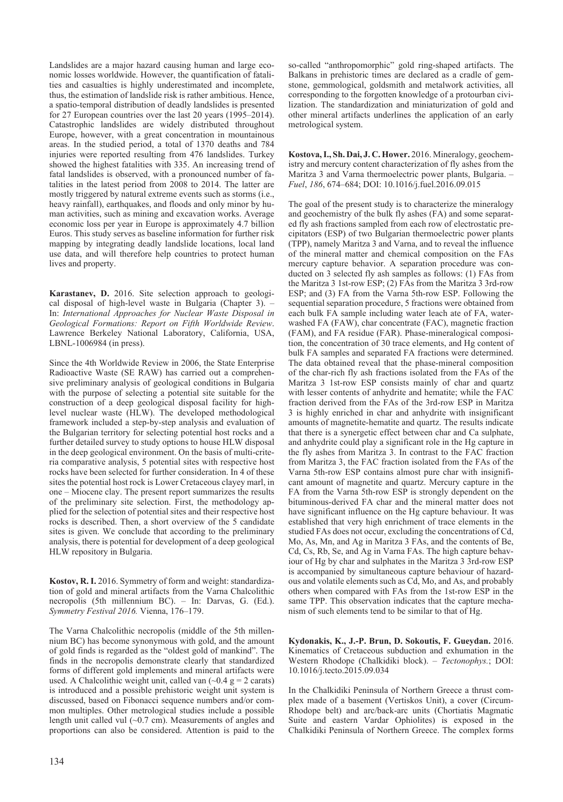Landslides are a major hazard causing human and large economic losses worldwide. However, the quantification of fatalities and casualties is highly underestimated and incomplete, thus, the estimation of landslide risk is rather ambitious. Hence, a spatio-temporal distribution of deadly landslides is presented for 27 European countries over the last 20 years (1995–2014). Catastrophic landslides are widely distributed throughout Europe, however, with a great concentration in mountainous areas. In the studied period, a total of 1370 deaths and 784 injuries were reported resulting from 476 landslides. Turkey showed the highest fatalities with 335. An increasing trend of fatal landslides is observed, with a pronounced number of fatalities in the latest period from 2008 to 2014. The latter are mostly triggered by natural extreme events such as storms (i.e., heavy rainfall), earthquakes, and floods and only minor by human activities, such as mining and excavation works. Average economic loss per year in Europe is approximately 4.7 billion Euros. This study serves as baseline information for further risk mapping by integrating deadly landslide locations, local land use data, and will therefore help countries to protect human lives and property.

**Karastanev, D.** 2016. Site selection approach to geological disposal of high-level waste in Bulgaria (Chapter 3). – In: *International Approaches for Nuclear Waste Disposal in Geological Formations: Report on Fifth Worldwide Review*. Lawrence Berkeley National Laboratory, California, USA, LBNL-1006984 (in press).

Since the 4th Worldwide Review in 2006, the State Enterprise Radioactive Waste (SE RAW) has carried out a comprehensive preliminary analysis of geological conditions in Bulgaria with the purpose of selecting a potential site suitable for the construction of a deep geological disposal facility for highlevel nuclear waste (HLW). The developed methodological framework included a step-by-step analysis and evaluation of the Bulgarian territory for selecting potential host rocks and a further detailed survey to study options to house HLW disposal in the deep geological environment. On the basis of multi-criteria comparative analysis, 5 potential sites with respective host rocks have been selected for further consideration. In 4 of these sites the potential host rock is Lower Cretaceous clayey marl, in one – Miocene clay. The present report summarizes the results of the preliminary site selection. First, the methodology applied for the selection of potential sites and their respective host rocks is described. Then, а short overview of the 5 candidate sites is given. We conclude that according to the preliminary analysis, there is potential for development of a deep geological HLW repository in Bulgaria.

**Kostov, R. I.** 2016. Symmetry of form and weight: standardization of gold and mineral artifacts from the Varna Chalcolithic necropolis (5th millennium BC). – In: Darvas, G. (Ed.). *Symmetry Festival 2016.* Vienna, 176–179.

The Varna Chalcolithic necropolis (middle of the 5th millennium BC) has become synonymous with gold, and the amount of gold finds is regarded as the "oldest gold of mankind". The finds in the necropolis demonstrate clearly that standardized forms of different gold implements and mineral artifacts were used. A Chalcolithic weight unit, called van  $(\sim 0.4 \text{ g} = 2 \text{ carats})$ is introduced and a possible prehistoric weight unit system is discussed, based on Fibonacci sequence numbers and/or common multiples. Other metrological studies include a possible length unit called vul (~0.7 cm). Measurements of angles and proportions can also be considered. Attention is paid to the

so-called "anthropomorphic" gold ring-shaped artifacts. The Balkans in prehistoric times are declared as a cradle of gemstone, gemmological, goldsmith and metalwork activities, all corresponding to the forgotten knowledge of a protourban civilization. The standardization and miniaturization of gold and other mineral artifacts underlines the application of an early metrological system.

**Kostova, I., Sh. Dai, J. C. Hower.** 2016. Mineralogy, geochemistry and mercury content characterization of fly ashes from the Maritza 3 and Varna thermoelectric power plants, Bulgaria. – *Fuel*, *186*, 674–684; DOI: 10.1016/j.fuel.2016.09.015

The goal of the present study is to characterize the mineralogy and geochemistry of the bulk fly ashes (FA) and some separated fly ash fractions sampled from each row of electrostatic precipitators (ESP) of two Bulgarian thermoelectric power plants (TPP), namely Maritza 3 and Varna, and to reveal the influence of the mineral matter and chemical composition on the FAs mercury capture behavior. A separation procedure was conducted on 3 selected fly ash samples as follows: (1) FAs from the Maritza 3 1st-row ESP; (2) FAs from the Maritza 3 3rd-row ESP; and (3) FA from the Varna 5th-row ESP. Following the sequential separation procedure, 5 fractions were obtained from each bulk FA sample including water leach ate of FA, waterwashed FA (FAW), char concentrate (FAC), magnetic fraction (FAM), and FA residue (FAR). Phase-mineralogical composition, the concentration of 30 trace elements, and Hg content of bulk FA samples and separated FA fractions were determined. The data obtained reveal that the phase-mineral composition of the char-rich fly ash fractions isolated from the FAs of the Maritza 3 1st-row ESP consists mainly of char and quartz with lesser contents of anhydrite and hematite; while the FAC fraction derived from the FAs of the 3rd-row ESP in Maritza 3 is highly enriched in char and anhydrite with insignificant amounts of magnetite-hematite and quartz. The results indicate that there is a synergetic effect between char and Ca sulphate, and anhydrite could play a significant role in the Hg capture in the fly ashes from Maritza 3. In contrast to the FAC fraction from Maritza 3, the FAC fraction isolated from the FAs of the Varna 5th-row ESP contains almost pure char with insignificant amount of magnetite and quartz. Mercury capture in the FA from the Varna 5th-row ESP is strongly dependent on the bituminous-derived FA char and the mineral matter does not have significant influence on the Hg capture behaviour. It was established that very high enrichment of trace elements in the studied FAs does not occur, excluding the concentrations of Cd, Mo, As, Mn, and Ag in Maritza 3 FAs, and the contents of Be, Cd, Cs, Rb, Se, and Ag in Varna FAs. The high capture behaviour of Hg by char and sulphates in the Maritza 3 3rd-row ESP is accompanied by simultaneous capture behaviour of hazardous and volatile elements such as Cd, Mo, and As, and probably others when compared with FAs from the 1st-row ESP in the same TPP. This observation indicates that the capture mechanism of such elements tend to be similar to that of Hg.

**Kydonakis, K., J.-P. Brun, D. Sokoutis, F. Gueydan.** 2016. Kinematics of Cretaceous subduction and exhumation in the western Rhodope (Chalkidiki block). – *Tectonophys.*; DOI: 10.1016/j.tecto.2015.09.034

In the Chalkidiki Peninsula of Northern Greece a thrust complex made of a basement (Vertiskos Unit), a cover (Circum-Rhodope belt) and arc/back-arc units (Chortiatis Magmatic Suite and eastern Vardar Ophiolites) is exposed in the Chalkidiki Peninsula of Northern Greece. The complex forms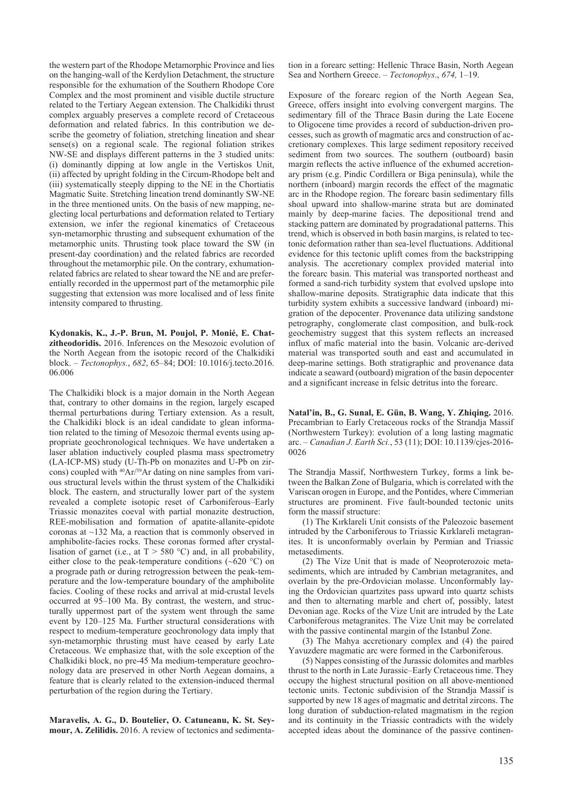the western part of the Rhodope Metamorphic Province and lies on the hanging-wall of the Kerdylion Detachment, the structure responsible for the exhumation of the Southern Rhodope Core Complex and the most prominent and visible ductile structure related to the Tertiary Aegean extension. The Chalkidiki thrust complex arguably preserves a complete record of Cretaceous deformation and related fabrics. In this contribution we describe the geometry of foliation, stretching lineation and shear sense(s) on a regional scale. The regional foliation strikes NW-SE and displays different patterns in the 3 studied units: (i) dominantly dipping at low angle in the Vertiskos Unit, (ii) affected by upright folding in the Circum-Rhodope belt and (iii) systematically steeply dipping to the NE in the Chortiatis Magmatic Suite. Stretching lineation trend dominantly SW-NE in the three mentioned units. On the basis of new mapping, neglecting local perturbations and deformation related to Tertiary extension, we infer the regional kinematics of Cretaceous syn-metamorphic thrusting and subsequent exhumation of the metamorphic units. Thrusting took place toward the SW (in present-day coordination) and the related fabrics are recorded throughout the metamorphic pile. On the contrary, exhumationrelated fabrics are related to shear toward the NE and are preferentially recorded in the uppermost part of the metamorphic pile suggesting that extension was more localised and of less finite intensity compared to thrusting.

**Kydonakis, K., J.-P. Brun, M. Poujol, P. Monié, E. Chatzitheodoridis.** 2016. Inferences on the Mesozoic evolution of the North Aegean from the isotopic record of the Chalkidiki block. – *Tectonophys.*, *682*, 65–84; DOI: 10.1016/j.tecto.2016. 06.006

The Chalkidiki block is a major domain in the North Aegean that, contrary to other domains in the region, largely escaped thermal perturbations during Tertiary extension. As a result, the Chalkidiki block is an ideal candidate to glean information related to the timing of Mesozoic thermal events using appropriate geochronological techniques. We have undertaken a laser ablation inductively coupled plasma mass spectrometry (LA-ICP-MS) study (U-Th-Pb on monazites and U-Pb on zircons) coupled with <sup>40</sup>Ar/<sup>39</sup>Ar dating on nine samples from various structural levels within the thrust system of the Chalkidiki block. The eastern, and structurally lower part of the system revealed a complete isotopic reset of Carboniferous–Early Triassic monazites coeval with partial monazite destruction, REE-mobilisation and formation of apatite-allanite-epidote coronas at ~132 Ma, a reaction that is commonly observed in amphibolite-facies rocks. These coronas formed after crystallisation of garnet (i.e., at  $T > 580$  °C) and, in all probability, either close to the peak-temperature conditions  $(\sim 620 \degree C)$  on a prograde path or during retrogression between the peak-temperature and the low-temperature boundary of the amphibolite facies. Cooling of these rocks and arrival at mid-crustal levels occurred at 95–100 Ma. By contrast, the western, and structurally uppermost part of the system went through the same event by 120–125 Ma. Further structural considerations with respect to medium-temperature geochronology data imply that syn-metamorphic thrusting must have ceased by early Late Cretaceous. We emphasize that, with the sole exception of the Chalkidiki block, no pre-45 Ma medium-temperature geochronology data are preserved in other North Aegean domains, a feature that is clearly related to the extension-induced thermal perturbation of the region during the Tertiary.

**Maravelis, A. G., D. Boutelier, O. Catuneanu, K. St. Seymour, A. Zelilidis.** 2016. A review of tectonics and sedimentation in a forearc setting: Hellenic Thrace Basin, North Aegean Sea and Northern Greece. – *Tectonophys*., *674,* 1–19.

Exposure of the forearc region of the North Aegean Sea, Greece, offers insight into evolving convergent margins. The sedimentary fill of the Thrace Basin during the Late Eocene to Oligocene time provides a record of subduction-driven processes, such as growth of magmatic arcs and construction of accretionary complexes. This large sediment repository received sediment from two sources. The southern (outboard) basin margin reflects the active influence of the exhumed accretionary prism (e.g. Pindic Cordillera or Biga peninsula), while the northern (inboard) margin records the effect of the magmatic arc in the Rhodope region. The forearc basin sedimentary fills shoal upward into shallow-marine strata but are dominated mainly by deep-marine facies. The depositional trend and stacking pattern are dominated by progradational patterns. This trend, which is observed in both basin margins, is related to tectonic deformation rather than sea-level fluctuations. Additional evidence for this tectonic uplift comes from the backstripping analysis. The accretionary complex provided material into the forearc basin. This material was transported northeast and formed a sand-rich turbidity system that evolved upslope into shallow-marine deposits. Stratigraphic data indicate that this turbidity system exhibits a successive landward (inboard) migration of the depocenter. Provenance data utilizing sandstone petrography, conglomerate clast composition, and bulk-rock geochemistry suggest that this system reflects an increased influx of mafic material into the basin. Volcanic arc-derived material was transported south and east and accumulated in deep-marine settings. Both stratigraphic and provenance data indicate a seaward (outboard) migration of the basin depocenter and a significant increase in felsic detritus into the forearc.

**Natal'in, B., G. Sunal, E. Gün, B. Wang, Y. Zhiqing.** 2016. Precambrian to Early Cretaceous rocks of the Strandja Massif (Northwestern Turkey): evolution of a long lasting magmatic arc. – *Canadian J. Earth Sci.*, 53 (11); DOI: 10.1139/cjes-2016- 0026

The Strandja Massif, Northwestern Turkey, forms a link between the Balkan Zone of Bulgaria, which is correlated with the Variscan orogen in Europe, and the Pontides, where Cimmerian structures are prominent. Five fault-bounded tectonic units form the massif structure:

(1) The Kırklareli Unit consists of the Paleozoic basement intruded by the Carboniferous to Triassic Kırklareli metagranites. It is unconformably overlain by Permian and Triassic metasediments.

(2) The Vize Unit that is made of Neoproterozoic metasediments, which are intruded by Cambrian metagranites, and overlain by the pre-Ordovician molasse. Unconformably laying the Ordovician quartzites pass upward into quartz schists and then to alternating marble and chert of, possibly, latest Devonian age. Rocks of the Vize Unit are intruded by the Late Carboniferous metagranites. The Vize Unit may be correlated with the passive continental margin of the Istanbul Zone.

(3) The Mahya accretionary complex and (4) the paired Yavuzdere magmatic arc were formed in the Carboniferous.

(5) Nappes consisting of the Jurassic dolomites and marbles thrust to the north in Late Jurassic–Early Cretaceous time. They occupy the highest structural position on all above-mentioned tectonic units. Tectonic subdivision of the Strandja Massif is supported by new 18 ages of magmatic and detrital zircons. The long duration of subduction-related magmatism in the region and its continuity in the Triassic contradicts with the widely accepted ideas about the dominance of the passive continen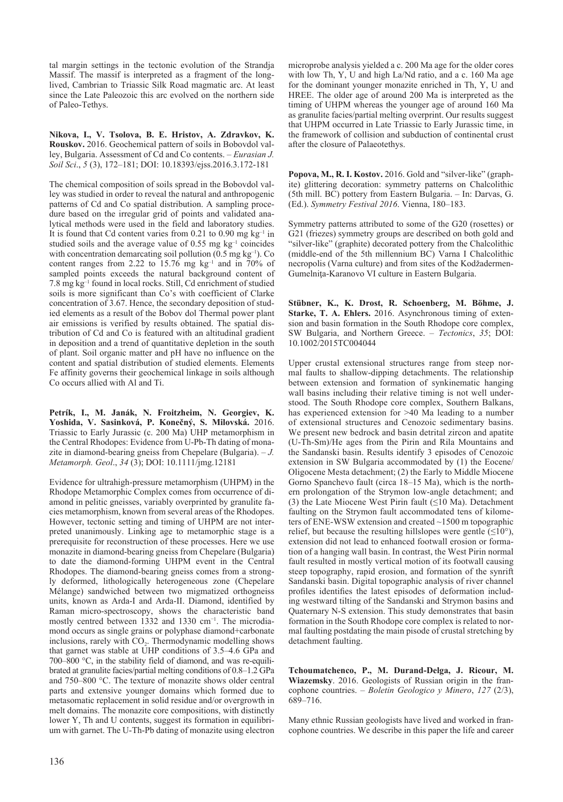tal margin settings in the tectonic evolution of the Strandja Massif. The massif is interpreted as a fragment of the longlived, Cambrian to Triassic Silk Road magmatic arc. At least since the Late Paleozoic this arc evolved on the northern side of Paleo-Tethys.

**Nikova, I., V. Tsolova, B. E. Hristov, A. Zdravkov, K. Rouskov.** 2016. Geochemical pattern of soils in Bobovdol valley, Bulgaria. Assessment of Cd and Co contents. – *Eurasian J. Soil Sci*., *5* (3), 172–181; DOI: 10.18393/ejss.2016.3.172-181

The chemical composition of soils spread in the Bobovdol valley was studied in order to reveal the natural and anthropogenic patterns of Cd and Co spatial distribution. A sampling procedure based on the irregular grid of points and validated analytical methods were used in the field and laboratory studies. It is found that Cd content varies from  $0.21$  to  $0.90$  mg kg<sup>-1</sup> in studied soils and the average value of  $0.55$  mg kg<sup>-1</sup> coincides with concentration demarcating soil pollution  $(0.5 \text{ mg kg}^{-1})$ . Co content ranges from 2.22 to  $15.76$  mg kg<sup>-1</sup> and in 70% of sampled points exceeds the natural background content of 7.8 mg kg–1 found in local rocks. Still, Cd enrichment of studied soils is more significant than Co's with coefficient of Clarke concentration of 3.67. Hence, the secondary deposition of studied elements as a result of the Bobov dol Thermal power plant air emissions is verified by results obtained. The spatial distribution of Cd and Co is featured with an altitudinal gradient in deposition and a trend of quantitative depletion in the south of plant. Soil organic matter and pH have no influence on the content and spatial distribution of studied elements. Elements Fe affinity governs their geochemical linkage in soils although Co occurs allied with Al and Ti.

**Petrík, I., M. Janák, N. Froitzheim, N. Georgiev, K. Yoshida, V. Sasinková, P. Konečný, S. Milovská.** 2016. Triassic to Early Jurassic (c. 200 Ma) UHP metamorphism in the Central Rhodopes: Evidence from U-Pb-Th dating of monazite in diamond-bearing gneiss from Chepelare (Bulgaria). – *J. Metamorph. Geol*., *34* (3); DOI: 10.1111/jmg.12181

Evidence for ultrahigh-pressure metamorphism (UHPM) in the Rhodope Metamorphic Complex comes from occurrence of diamond in pelitic gneisses, variably overprinted by granulite facies metamorphism, known from several areas of the Rhodopes. However, tectonic setting and timing of UHPM are not interpreted unanimously. Linking age to metamorphic stage is a prerequisite for reconstruction of these processes. Here we use monazite in diamond-bearing gneiss from Chepelare (Bulgaria) to date the diamond-forming UHPM event in the Central Rhodopes. The diamond-bearing gneiss comes from a strongly deformed, lithologically heterogeneous zone (Chepelare Mélange) sandwiched between two migmatized orthogneiss units, known as Arda-I and Arda-II. Diamond, identified by Raman micro-spectroscopy, shows the characteristic band mostly centred between 1332 and 1330 cm<sup>-1</sup>. The microdiamond occurs as single grains or polyphase diamond+carbonate inclusions, rarely with CO<sub>2</sub>. Thermodynamic modelling shows that garnet was stable at UHP conditions of 3.5–4.6 GPa and 700–800 °C, in the stability field of diamond, and was re-equilibrated at granulite facies/partial melting conditions of 0.8–1.2 GPa and 750–800 °C. The texture of monazite shows older central parts and extensive younger domains which formed due to metasomatic replacement in solid residue and/or overgrowth in melt domains. The monazite core compositions, with distinctly lower Y, Th and U contents, suggest its formation in equilibrium with garnet. The U-Th-Pb dating of monazite using electron microprobe analysis yielded a c. 200 Ma age for the older cores with low Th, Y, U and high La/Nd ratio, and a c. 160 Ma age for the dominant younger monazite enriched in Th, Y, U and HREE. The older age of around 200 Ma is interpreted as the timing of UHPM whereas the younger age of around 160 Ma as granulite facies/partial melting overprint. Our results suggest that UHPM occurred in Late Triassic to Early Jurassic time, in the framework of collision and subduction of continental crust after the closure of Palaeotethys.

**Popova, M., R. I. Kostov.** 2016. Gold and "silver-like" (graphite) glittering decoration: symmetry patterns on Chalcolithic (5th mill. BC) pottery from Eastern Bulgaria. – In: Darvas, G. (Ed.). *Symmetry Festival 2016*. Vienna, 180–183.

Symmetry patterns attributed to some of the G20 (rosettes) or G21 (friezes) symmetry groups are described on both gold and "silver-like" (graphite) decorated pottery from the Chalcolithic (middle-end of the 5th millennium BC) Varna I Chalcolithic necropolis (Varna culture) and from sites of the Kodžadermen-Gumelniţa-Karanovo VI culture in Eastern Bulgaria.

**Stübner, K., K. Drost, R. Schoenberg, M. Böhme, J. Starke, T. A. Ehlers.** 2016. Asynchronous timing of extension and basin formation in the South Rhodope core complex, SW Bulgaria, and northern Greece. – *Tectonics*, *35*; DOI: 10.1002/2015TC004044

Upper crustal extensional structures range from steep normal faults to shallow-dipping detachments. The relationship between extension and formation of synkinematic hanging wall basins including their relative timing is not well understood. The South Rhodope core complex, Southern Balkans, has experienced extension for >40 Ma leading to a number of extensional structures and Cenozoic sedimentary basins. We present new bedrock and basin detrital zircon and apatite (U-Th-Sm)/He ages from the Pirin and Rila Mountains and the Sandanski basin. Results identify 3 episodes of Cenozoic extension in SW Bulgaria accommodated by (1) the Eocene/ Oligocene Mesta detachment; (2) the Early to Middle Miocene Gorno Spanchevo fault (circa 18–15 Ma), which is the northern prolongation of the Strymon low-angle detachment; and (3) the Late Miocene West Pirin fault  $(\leq 10 \text{ Ma})$ . Detachment faulting on the Strymon fault accommodated tens of kilometers of ENE-WSW extension and created ~1500 m topographic relief, but because the resulting hillslopes were gentle  $(\leq 10^{\circ})$ , extension did not lead to enhanced footwall erosion or formation of a hanging wall basin. In contrast, the West Pirin normal fault resulted in mostly vertical motion of its footwall causing steep topography, rapid erosion, and formation of the synrift Sandanski basin. Digital topographic analysis of river channel profiles identifies the latest episodes of deformation including westward tilting of the Sandanski and Strymon basins and Quaternary N-S extension. This study demonstrates that basin formation in the South Rhodope core complex is related to normal faulting postdating the main pisode of crustal stretching by detachment faulting.

**Tchoumatchenco, P., M. Durand-Delga, J. Ricour, M. Wiazemsky**. 2016. Geologists of Russian origin in the francophone countries. – *Boletin Geologico y Minero*, *127* (2/3), 689–716.

Many ethnic Russian geologists have lived and worked in francophone countries. We describe in this paper the life and career